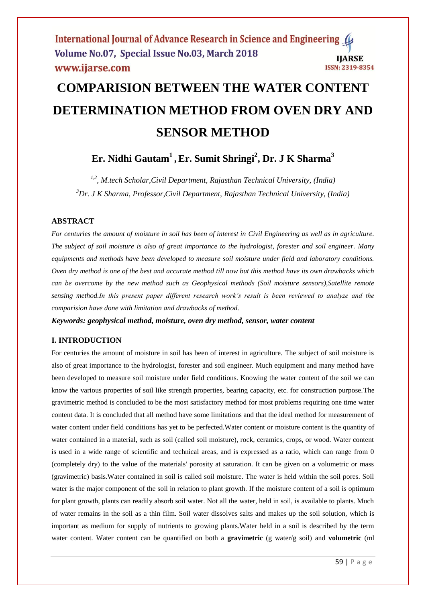# **COMPARISION BETWEEN THE WATER CONTENT DETERMINATION METHOD FROM OVEN DRY AND SENSOR METHOD**

**Er. Nidhi Gautam<sup>1</sup> ,Er. Sumit Shringi<sup>2</sup> , Dr. J K Sharma<sup>3</sup>**

*1,2, M.tech Scholar,Civil Department, Rajasthan Technical University, (India) <sup>3</sup>Dr. J K Sharma, Professor,Civil Department, Rajasthan Technical University, (India)*

# **ABSTRACT**

*For centuries the amount of moisture in soil has been of interest in Civil Engineering as well as in agriculture. The subject of soil moisture is also of great importance to the hydrologist, forester and soil engineer. Many equipments and methods have been developed to measure soil moisture under field and laboratory conditions. Oven dry method is one of the best and accurate method till now but this method have its own drawbacks which can be overcome by the new method such as Geophysical methods (Soil moisture sensors),Satellite remote sensing method.In this present paper different research work's result is been reviewed to analyze and the comparision have done with limitation and drawbacks of method.*

*Keywords: geophysical method, moisture, oven dry method, sensor, water content*

# **I. INTRODUCTION**

For centuries the amount of moisture in soil has been of interest in agriculture. The subject of soil moisture is also of great importance to the hydrologist, forester and soil engineer. Much equipment and many method have been developed to measure soil moisture under field conditions. Knowing the water content of the soil we can know the various properties of soil like strength properties, bearing capacity, etc. for construction purpose.The gravimetric method is concluded to be the most satisfactory method for most problems requiring one time water content data. It is concluded that all method have some limitations and that the ideal method for measurement of water content under field conditions has yet to be perfected. Water content or moisture content is the quantity of water contained in a material, such as soil (called soil moisture), rock, ceramics, crops, or wood. Water content is used in a wide range of scientific and technical areas, and is expressed as a ratio, which can range from 0 (completely dry) to the value of the materials' porosity at saturation. It can be given on a volumetric or mass (gravimetric) basis.Water contained in soil is called soil moisture. The water is held within the soil pores. Soil water is the major component of the soil in relation to plant growth. If the moisture content of a soil is optimum for plant growth, plants can readily absorb soil water. Not all the water, held in soil, is available to plants. Much of water remains in the soil as a thin film. Soil water dissolves salts and makes up the soil solution, which is important as medium for supply of nutrients to growing plants.Water held in a soil is described by the term water content. Water content can be quantified on both a **gravimetric** (g water/g soil) and **volumetric** (ml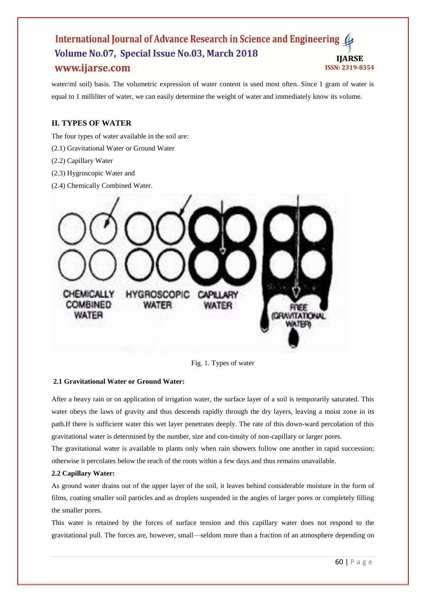water/ml soil) basis. The volumetric expression of water content is used most often. Since 1 gram of water is equal to 1 milliliter of water, we can easily determine the weight of water and immediately know its volume.

# **II. TYPES OF WATER**

The four types of water available in the soil are:

- (2.1) Gravitational Water or Ground Water
- (2.2) Capillary Water
- (2.3) Hygroscopic Water and
- (2.4) Chemically Combined Water.



Fig. 1. Types of water

# **2.1 Gravitational Water or Ground Water:**

After a heavy rain or on application of irrigation water, the surface layer of a soil is temporarily saturated. This water obeys the laws of gravity and thus descends rapidly through the dry layers, leaving a moist zone in its path.If there is sufficient water this wet layer penetrates deeply. The rate of this down-ward percolation of this gravitational water is determined by the number, size and con-tinuity of non-capillary or larger pores.

The gravitational water is available to plants only when rain showers follow one another in rapid succession; otherwise it percolates below the reach of the roots within a few days and thus remains unavailable.

# **2.2 Capillary Water:**

As ground water drains out of the upper layer of the soil, it leaves behind considerable moisture in the form of films, coating smaller soil particles and as droplets suspended in the angles of larger pores or completely filling the smaller pores.

This water is retained by the forces of surface tension and this capillary water does not respond to the gravitational pull. The forces are, however, small—seldom more than a fraction of an atmosphere depending on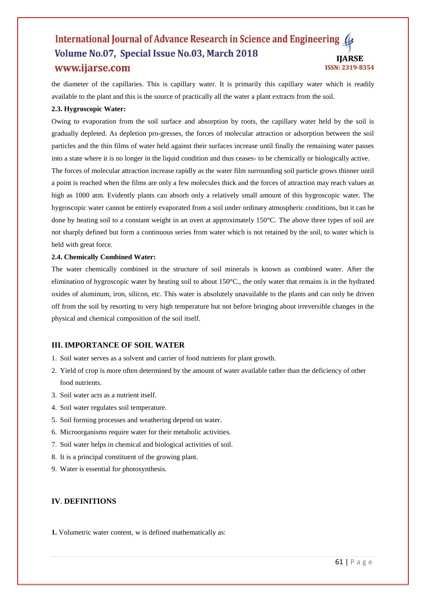the diameter of the capillaries. This is capillary water. It is primarily this capillary water which is readily available to the plant and this is the source of practically all the water a plant extracts from the soil.

# **2.3. Hygroscopic Water:**

Owing to evaporation from the soil surface and absorption by roots, the capillary water held by the soil is gradually depleted. As depletion pro-gresses, the forces of molecular attraction or adsorption between the soil particles and the thin films of water held against their surfaces increase until finally the remaining water passes into a state where it is no longer in the liquid condition and thus ceases- to be chemically or biologically active. The forces of molecular attraction increase rapidly as the water film surrounding soil particle grows thinner until a point is reached when the films are only a few molecules thick and the forces of attraction may reach values as high as 1000 atm. Evidently plants can absorb only a relatively small amount of this hygroscopic water. The hygroscopic water cannot be entirely evaporated from a soil under ordinary atmospheric conditions, but it can be done by heating soil to a constant weight in an oven at approximately 150°C. The above three types of soil are

not sharply defined but form a continuous series from water which is not retained by the soil, to water which is held with great force.

# **2.4. Chemically Combined Water:**

The water chemically combined in the structure of soil minerals is known as combined water. After the elimination of hygroscopic water by heating soil to about 150°C., the only water that remains is in the hydrated oxides of aluminum, iron, silicon, etc. This water is absolutely unavailable to the plants and can only be driven off from the soil by resorting to very high temperature but not before bringing about irreversible changes in the physical and chemical composition of the soil itself.

# **III. IMPORTANCE OF SOIL WATER**

- 1. Soil water serves as a solvent and carrier of food nutrients for plant growth.
- 2. Yield of crop is more often determined by the amount of water available rather than the deficiency of other food nutrients.
- 3. Soil water acts as a nutrient itself.
- 4. Soil water regulates soil temperature.
- 5. Soil forming processes and weathering depend on water.
- 6. Microorganisms require water for their metabolic activities.
- 7. Soil water helps in chemical and biological activities of soil.
- 8. It is a principal constituent of the growing plant.
- 9. Water is essential for photosynthesis.

# **IV**. **DEFINITIONS**

**1.** Volumetric water content, w is defined mathematically as: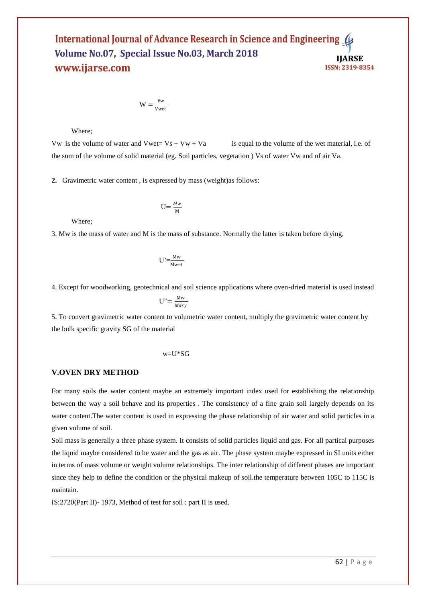$W = \frac{Vw}{V}$ Vwet

Where;

Vw is the volume of water and Vwet=  $Vs + Vw + Va$  is equal to the volume of the wet material, i.e. of the sum of the volume of solid material (eg. Soil particles, vegetation ) Vs of water Vw and of air Va.

**2.** Gravimetric water content , is expressed by mass (weight)as follows:

 $U=\frac{Mw}{M}$ 

M

Where;

3. Mw is the mass of water and M is the mass of substance. Normally the latter is taken before drying.

$$
U' = \frac{Mw}{Mwet}
$$

4. Except for woodworking, geotechnical and soil science applications where oven-dried material is used instead

$$
U'' = \frac{Mw}{Mdry}
$$

5. To convert gravimetric water content to volumetric water content, multiply the gravimetric water content by the bulk specific gravity SG of the material

$$
\text{w=U*SG}
$$

# **V.OVEN DRY METHOD**

For many soils the water content maybe an extremely important index used for establishing the relationship between the way a soil behave and its properties . The consistency of a fine grain soil largely depends on its water content.The water content is used in expressing the phase relationship of air water and solid particles in a given volume of soil.

Soil mass is generally a three phase system. It consists of solid particles liquid and gas. For all partical purposes the liquid maybe considered to be water and the gas as air. The phase system maybe expressed in SI units either in terms of mass volume or weight volume relationships. The inter relationship of different phases are important since they help to define the condition or the physical makeup of soil.the temperature between 105C to 115C is maintain.

IS:2720(Part II)- 1973, Method of test for soil : part II is used.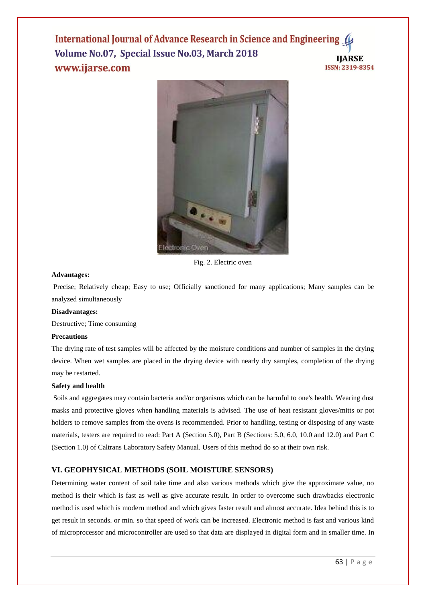

Fig. 2. Electric oven

#### **Advantages:**

Precise; Relatively cheap; Easy to use; Officially sanctioned for many applications; Many samples can be analyzed simultaneously

# **Disadvantages:**

Destructive; Time consuming

#### **Precautions**

The drying rate of test samples will be affected by the moisture conditions and number of samples in the drying device. When wet samples are placed in the drying device with nearly dry samples, completion of the drying may be restarted.

#### **Safety and health**

Soils and aggregates may contain bacteria and/or organisms which can be harmful to one's health. Wearing dust masks and protective gloves when handling materials is advised. The use of heat resistant gloves/mitts or pot holders to remove samples from the ovens is recommended. Prior to handling, testing or disposing of any waste materials, testers are required to read: Part A (Section 5.0), Part B (Sections: 5.0, 6.0, 10.0 and 12.0) and Part C (Section 1.0) of Caltrans Laboratory Safety Manual. Users of this method do so at their own risk.

#### **VI. GEOPHYSICAL METHODS (SOIL MOISTURE SENSORS)**

Determining water content of soil take time and also various methods which give the approximate value, no method is their which is fast as well as give accurate result. In order to overcome such drawbacks electronic method is used which is modern method and which gives faster result and almost accurate. Idea behind this is to get result in seconds. or min. so that speed of work can be increased. Electronic method is fast and various kind of microprocessor and microcontroller are used so that data are displayed in digital form and in smaller time. In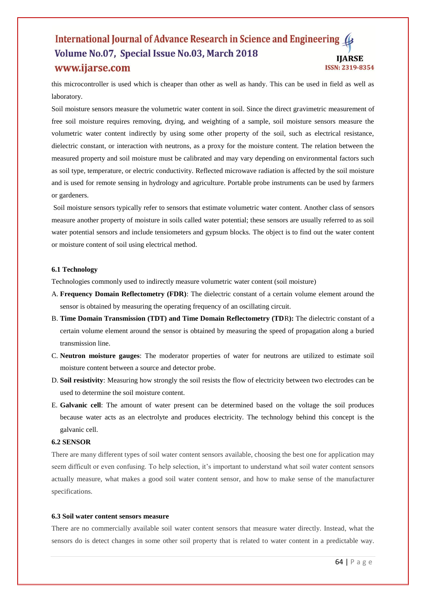this microcontroller is used which is cheaper than other as well as handy. This can be used in field as well as laboratory.

Soil moisture sensors measure the volumetric water content in soil. Since the direct gravimetric measurement of free soil moisture requires removing, drying, and weighting of a sample, soil moisture sensors measure the volumetric water content indirectly by using some other property of the soil, such as electrical resistance, dielectric constant, or interaction with neutrons, as a proxy for the moisture content. The relation between the measured property and soil moisture must be calibrated and may vary depending on environmental factors such as soil type, temperature, or electric conductivity. Reflected microwave radiation is affected by the soil moisture and is used for remote sensing in hydrology and agriculture. Portable probe instruments can be used by farmers or gardeners.

Soil moisture sensors typically refer to sensors that estimate volumetric water content. Another class of sensors measure another property of moisture in soils called water potential; these sensors are usually referred to as soil water potential sensors and include tensiometers and gypsum blocks. The object is to find out the water content or moisture content of soil using electrical method.

## **6.1 Technology**

Technologies commonly used to indirectly measure volumetric water content (soil moisture)

- A. **Frequency Domain Reflectometry (FDR)**: The dielectric constant of a certain volume element around the sensor is obtained by measuring the operating frequency of an oscillating circuit.
- B. **Time Domain Transmission (TDT) and Time Domain Reflectometry (TD**R**):** The dielectric constant of a certain volume element around the sensor is obtained by measuring the speed of propagation along a buried transmission line.
- C. **Neutron moisture gauges**: The moderator properties of water for neutrons are utilized to estimate soil moisture content between a source and detector probe.
- D. **Soil resistivity**: Measuring how strongly the soil resists the flow of electricity between two electrodes can be used to determine the soil moisture content.
- E. **Galvanic cell**: The amount of water present can be determined based on the voltage the soil produces because water acts as an electrolyte and produces electricity. The technology behind this concept is the galvanic cell.

# **6.2 SENSOR**

There are many different types of soil water content sensors available, choosing the best one for application may seem difficult or even confusing. To help selection, it's important to understand what soil water content sensors actually measure, what makes a good soil water content sensor, and how to make sense of the manufacturer specifications.

## **6.3 Soil water content sensors measure**

There are no commercially available soil water content sensors that measure water directly. Instead, what the sensors do is detect changes in some other soil property that is related to water content in a predictable way.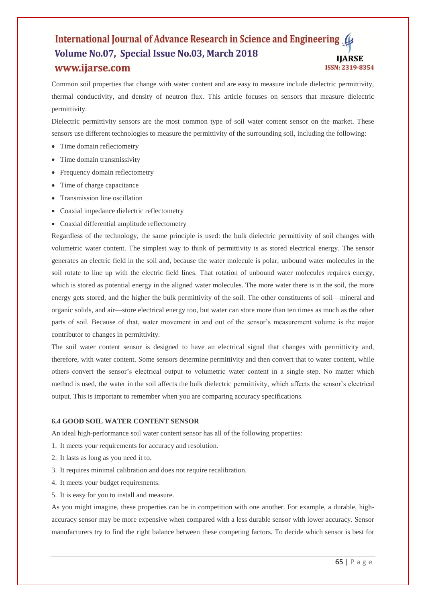Common soil properties that change with water content and are easy to measure include dielectric permittivity, thermal conductivity, and density of neutron flux. This article focuses on sensors that measure dielectric permittivity.

Dielectric permittivity sensors are the most common type of soil water content sensor on the market. These sensors use different technologies to measure the permittivity of the surrounding soil, including the following:

- Time domain reflectometry
- Time domain transmissivity
- Frequency domain reflectometry
- Time of charge capacitance
- Transmission line oscillation
- Coaxial impedance dielectric reflectometry
- Coaxial differential amplitude reflectometry

Regardless of the technology, the same principle is used: the bulk dielectric permittivity of soil changes with volumetric water content. The simplest way to think of permittivity is as stored electrical energy. The sensor generates an electric field in the soil and, because the water molecule is polar, unbound water molecules in the soil rotate to line up with the electric field lines. That rotation of unbound water molecules requires energy, which is stored as potential energy in the aligned water molecules. The more water there is in the soil, the more energy gets stored, and the higher the bulk permittivity of the soil. The other constituents of soil—mineral and organic solids, and air—store electrical energy too, but water can store more than ten times as much as the other parts of soil. Because of that, water movement in and out of the sensor's measurement volume is the major contributor to changes in permittivity.

The soil water content sensor is designed to have an electrical signal that changes with permittivity and, therefore, with water content. Some sensors determine permittivity and then convert that to water content, while others convert the sensor's electrical output to volumetric water content in a single step. No matter which method is used, the water in the soil affects the bulk dielectric permittivity, which affects the sensor's electrical output. This is important to remember when you are comparing accuracy specifications.

#### **6.4 GOOD SOIL WATER CONTENT SENSOR**

An ideal high-performance soil water content sensor has all of the following properties:

- 1. It meets your requirements for accuracy and resolution.
- 2. It lasts as long as you need it to.
- 3. It requires minimal calibration and does not require recalibration.
- 4. It meets your budget requirements.
- 5. It is easy for you to install and measure.

As you might imagine, these properties can be in competition with one another. For example, a durable, highaccuracy sensor may be more expensive when compared with a less durable sensor with lower accuracy. Sensor manufacturers try to find the right balance between these competing factors. To decide which sensor is best for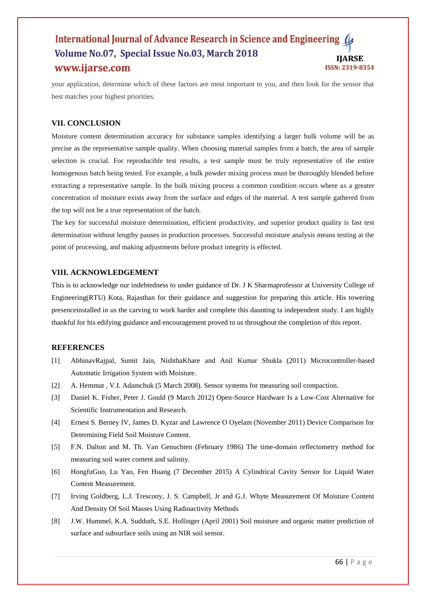your application, determine which of these factors are most important to you, and then look for the sensor that best matches your highest priorities.

# **VII. CONCLUSION**

Moisture content determination accuracy for substance samples identifying a larger bulk volume will be as precise as the representative sample quality. When choosing material samples from a batch, the area of sample selection is crucial. For reproducible test results, a test sample must be truly representative of the entire homogenous batch being tested. For example, a bulk powder mixing process must be thoroughly blended before extracting a representative sample. In the bulk mixing process a common condition occurs where as a greater concentration of moisture exists away from the surface and edges of the material. A test sample gathered from the top will not be a true representation of the batch.

The key for successful moisture determination, efficient productivity, and superior product quality is fast test determination without lengthy pauses in production processes. Successful moisture analysis means testing at the point of processing, and making adjustments before product integrity is effected.

# **VIII. ACKNOWLEDGEMENT**

This is to acknowledge our indebtedness to under guidance of Dr. J K Sharmaprofessor at University College of Engineering(RTU) Kota, Rajasthan for their guidance and suggestion for preparing this article. His towering presenceinstalled in us the carving to work harder and complete this daunting ta independent study. I am highly thankful for his edifying guidance and encouragement proved to us throughout the completion of this report.

# **REFERENCES**

- [1] AbhinavRajpal, Sumit Jain, NishthaKhare and Anil Kumar Shukla (2011) Microcontroller-based Automatic Irrigation System with Moisture.
- [2] A. Hemmat , V.I. Adamchuk (5 March 2008). Sensor systems for measuring soil compaction.
- [3] Daniel K. Fisher, Peter J. Gould (9 March 2012) Open-Source Hardware Is a Low-Cost Alternative for Scientific Instrumentation and Research.
- [4] Ernest S. Berney IV, James D. Kyzar and Lawrence O Oyelam (November 2011) Device Comparison for Determining Field Soil Moisture Content.
- [5] F.N. Dalton and M. Th. Van Genuchten (February 1986) The time-domain reflectometry method for measuring soil water content and salinity.
- [6] HongfuGuo, Lu Yao, Fen Huang (7 December 2015) A Cylindrical Cavity Sensor for Liquid Water Content Measurement.
- [7] Irving Goldberg, L.J. Trescony, J. S. Campbell, Jr and G.J. Whyte Measurement Of Moisture Content And Density Of Soil Masses Using Radioactivity Methods
- [8] J.W. Hummel, K.A. Sudduth, S.E. Hollinger (April 2001) Soil moisture and organic matter prediction of surface and subsurface soils using an NIR soil sensor.